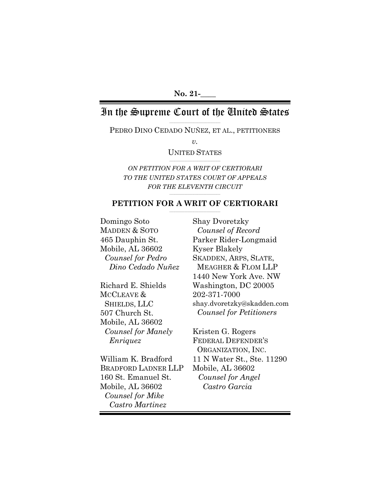# In the Supreme Court of the United States

\_\_\_\_\_\_\_\_\_\_\_\_\_\_\_\_\_\_\_\_\_\_\_\_\_\_\_\_\_\_\_\_\_\_\_\_\_\_\_\_ PEDRO DINO CEDADO NUÑEZ, ET AL., PETITIONERS

*v.*

UNITED STATES \_\_\_\_\_\_\_\_\_\_\_\_\_\_\_\_\_\_\_\_\_\_\_\_\_\_\_\_\_\_\_\_\_\_\_\_\_\_\_\_

*ON PETITION FOR A WRIT OF CERTIORARI TO THE UNITED STATES COURT OF APPEALS FOR THE ELEVENTH CIRCUIT*

#### \_\_\_\_\_\_\_\_\_\_\_\_\_\_\_\_\_\_\_\_\_\_\_\_\_\_\_\_\_\_\_\_\_\_\_\_\_\_\_\_ **PETITION FOR A WRIT OF CERTIORARI**

Domingo Soto MADDEN & SOTO 465 Dauphin St. Mobile, AL 36602 *Counsel for Pedro Dino Cedado Nuñez*

Richard E. Shields MCCLEAVE & SHIELDS, LLC 507 Church St. Mobile, AL 36602 *Counsel for Manely Enriquez*

William K. Bradford BRADFORD LADNER LLP 160 St. Emanuel St. Mobile, AL 36602 *Counsel for Mike Castro Martinez*

Shay Dvoretzky *Counsel of Record* Parker Rider-Longmaid Kyser Blakely SKADDEN, ARPS, SLATE, MEAGHER & FLOM LLP 1440 New York Ave. NW Washington, DC 20005 202-371-7000 shay.dvoretzky@skadden.com *Counsel for Petitioners*

Kristen G. Rogers FEDERAL DEFENDER'S ORGANIZATION, INC. 11 N Water St., Ste. 11290 Mobile, AL 36602 *Counsel for Angel Castro Garcia*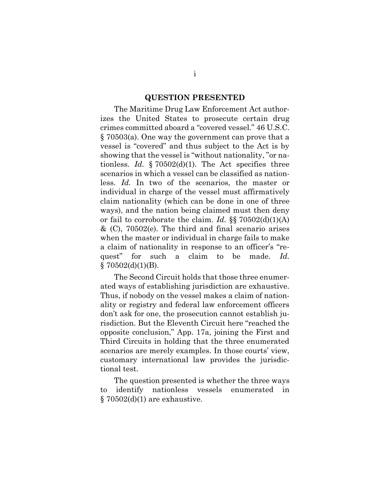#### **QUESTION PRESENTED**

<span id="page-1-0"></span>The Maritime Drug Law Enforcement Act authorizes the United States to prosecute certain drug crimes committed aboard a "covered vessel." 46 U.S.C. § 70503(a). One way the government can prove that a vessel is "covered" and thus subject to the Act is by showing that the vessel is "without nationality, "or nationless. *Id.*  $\S 70502(d)(1)$ . The Act specifies three scenarios in which a vessel can be classified as nationless. *Id.* In two of the scenarios, the master or individual in charge of the vessel must affirmatively claim nationality (which can be done in one of three ways), and the nation being claimed must then deny or fail to corroborate the claim. *Id.* §§ 70502(d)(1)(A)  $\&$  (C), 70502(e). The third and final scenario arises when the master or individual in charge fails to make a claim of nationality in response to an officer's "request" for such a claim to be made. *Id.*  $§ 70502(d)(1)(B).$ 

The Second Circuit holds that those three enumerated ways of establishing jurisdiction are exhaustive. Thus, if nobody on the vessel makes a claim of nationality or registry and federal law enforcement officers don't ask for one, the prosecution cannot establish jurisdiction. But the Eleventh Circuit here "reached the opposite conclusion," App. 17a, joining the First and Third Circuits in holding that the three enumerated scenarios are merely examples. In those courts' view, customary international law provides the jurisdictional test.

The question presented is whether the three ways to identify nationless vessels enumerated in  $\S 70502(d)(1)$  are exhaustive.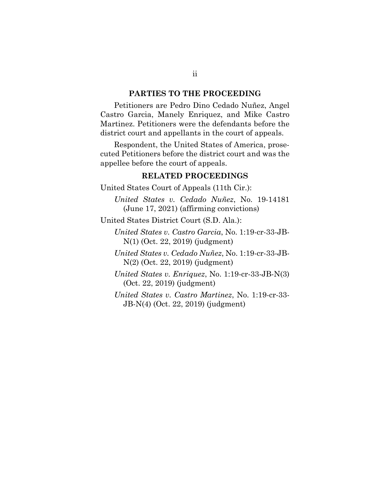### **PARTIES TO THE PROCEEDING**

<span id="page-2-0"></span>Petitioners are Pedro Dino Cedado Nuñez, Angel Castro Garcia, Manely Enriquez, and Mike Castro Martinez. Petitioners were the defendants before the district court and appellants in the court of appeals.

Respondent, the United States of America, prosecuted Petitioners before the district court and was the appellee before the court of appeals.

### **RELATED PROCEEDINGS**

<span id="page-2-1"></span>United States Court of Appeals (11th Cir.):

*United States v. Cedado Nuñez*, No. 19-14181 (June 17, 2021) (affirming convictions)

United States District Court (S.D. Ala.):

*United States v. Castro Garcia*, No. 1:19-cr-33-JB-N(1) (Oct. 22, 2019) (judgment)

*United States v. Cedado Nuñez*, No. 1:19-cr-33-JB-N(2) (Oct. 22, 2019) (judgment)

*United States v. Enriquez*, No. 1:19-cr-33-JB-N(3) (Oct. 22, 2019) (judgment)

*United States v. Castro Martinez*, No. 1:19-cr-33- JB-N(4) (Oct. 22, 2019) (judgment)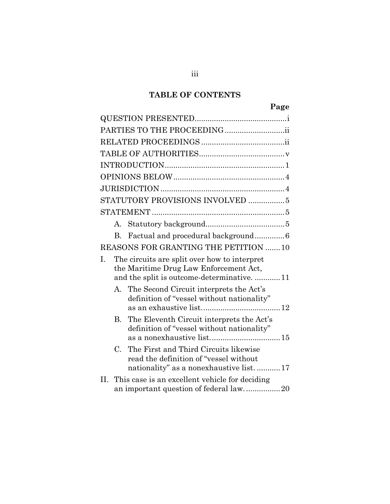## **TABLE OF CONTENTS**

| PARTIES TO THE PROCEEDING |                                                                                                                                    |                                                                                                                              |  |  |
|---------------------------|------------------------------------------------------------------------------------------------------------------------------------|------------------------------------------------------------------------------------------------------------------------------|--|--|
|                           |                                                                                                                                    |                                                                                                                              |  |  |
|                           |                                                                                                                                    |                                                                                                                              |  |  |
|                           |                                                                                                                                    |                                                                                                                              |  |  |
|                           |                                                                                                                                    |                                                                                                                              |  |  |
|                           |                                                                                                                                    |                                                                                                                              |  |  |
|                           |                                                                                                                                    | STATUTORY PROVISIONS INVOLVED  5                                                                                             |  |  |
|                           |                                                                                                                                    |                                                                                                                              |  |  |
|                           | $A_{1}$                                                                                                                            |                                                                                                                              |  |  |
|                           | $\mathbf{B}$                                                                                                                       | Factual and procedural background6                                                                                           |  |  |
|                           |                                                                                                                                    | REASONS FOR GRANTING THE PETITION 10                                                                                         |  |  |
| I.                        | The circuits are split over how to interpret<br>the Maritime Drug Law Enforcement Act,<br>and the split is outcome-determinative11 |                                                                                                                              |  |  |
|                           | A.                                                                                                                                 | The Second Circuit interprets the Act's<br>definition of "vessel without nationality"                                        |  |  |
|                           | В.                                                                                                                                 | The Eleventh Circuit interprets the Act's<br>definition of "vessel without nationality"                                      |  |  |
|                           | C.                                                                                                                                 | The First and Third Circuits likewise<br>read the definition of "vessel without<br>nationality" as a nonexhaustive list.  17 |  |  |
| Н.                        |                                                                                                                                    | This case is an excellent vehicle for deciding<br>an important question of federal law20                                     |  |  |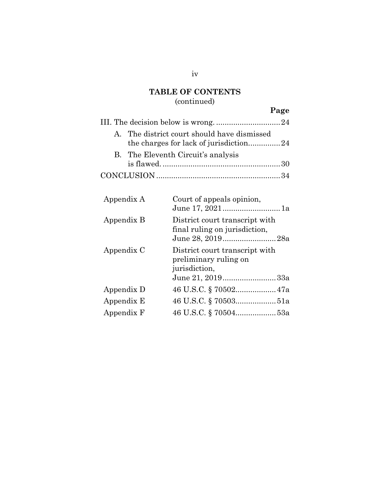## **TABLE OF CONTENTS**

# (continued)

# **Page**

|  | A. The district court should have dismissed |  |  |
|--|---------------------------------------------|--|--|
|  | B. The Eleventh Circuit's analysis          |  |  |
|  |                                             |  |  |
|  |                                             |  |  |

| Court of appeals opinion,                                                                    |
|----------------------------------------------------------------------------------------------|
| District court transcript with<br>final ruling on jurisdiction,<br>June 28, 201928a          |
| District court transcript with<br>preliminary ruling on<br>jurisdiction,<br>June 21, 201933a |
|                                                                                              |
| 46 U.S.C. § 7050351a                                                                         |
| 46 U.S.C. § 7050453a                                                                         |
|                                                                                              |

iv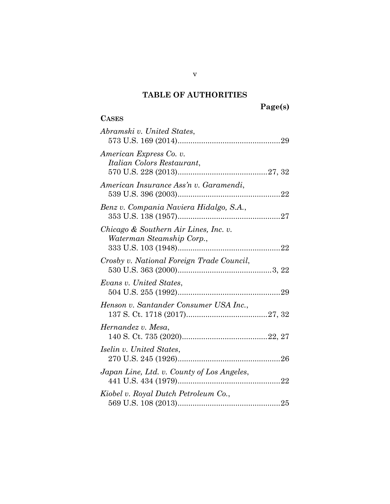# **Page(s)**

## <span id="page-5-0"></span>**CASES**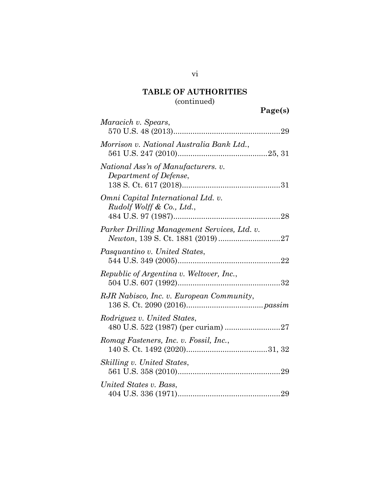# (continued)

| Maracich v. Spears,                                             |  |
|-----------------------------------------------------------------|--|
| Morrison v. National Australia Bank Ltd.,                       |  |
| National Ass'n of Manufacturers. v.<br>Department of Defense,   |  |
| Omni Capital International Ltd. v.<br>Rudolf Wolff & Co., Ltd., |  |
| Parker Drilling Management Services, Ltd. v.                    |  |
| Pasquantino v. United States,                                   |  |
| Republic of Argentina v. Weltover, Inc.,                        |  |
| RJR Nabisco, Inc. v. European Community,                        |  |
| Rodriguez v. United States,                                     |  |
| Romag Fasteners, Inc. v. Fossil, Inc.,                          |  |
| Skilling v. United States,                                      |  |
| United States v. Bass,                                          |  |

vi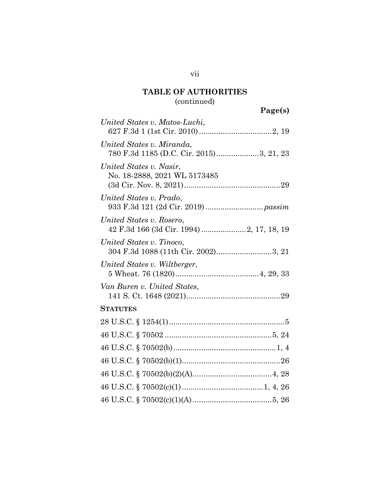# (continued)

| lgel<br>S I<br>я |
|------------------|
|------------------|

| United States v. Matos-Luchi,                                         |
|-----------------------------------------------------------------------|
| United States v. Miranda,<br>780 F.3d 1185 (D.C. Cir. 2015)3, 21, 23  |
| United States v. Nasir,<br>No. 18-2888, 2021 WL 5173485               |
| United States v. Prado,                                               |
| United States v. Rosero,<br>42 F.3d 166 (3d Cir. 1994)  2, 17, 18, 19 |
| United States v. Tinoco,<br>304 F.3d 1088 (11th Cir. 2002)3, 21       |
| United States v. Wiltberger,                                          |
| Van Buren v. United States,                                           |
| <b>STATUTES</b>                                                       |
|                                                                       |
|                                                                       |
|                                                                       |
|                                                                       |
|                                                                       |
|                                                                       |
|                                                                       |

vii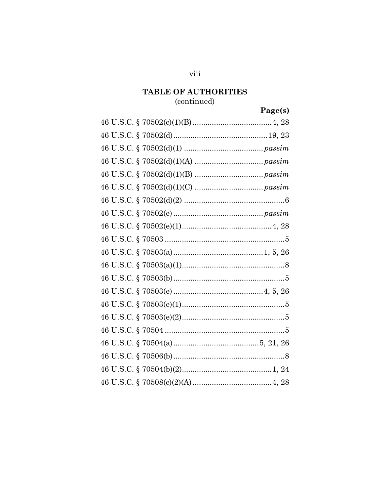## (continued)

# Page(s)

### viii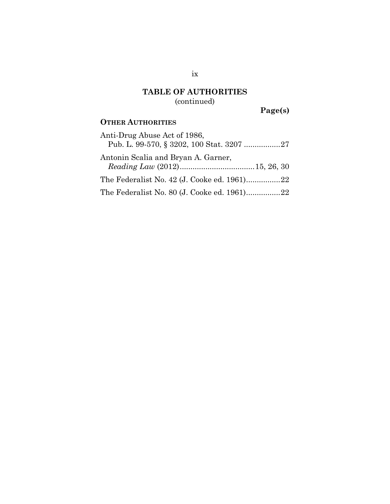## **TABLE OF AUTHORITIES** (continued)

**Page(s)**

### **OTHER AUTHORITIES**

| Anti-Drug Abuse Act of 1986,                |  |
|---------------------------------------------|--|
| Pub. L. 99-570, § 3202, 100 Stat. 3207 27   |  |
| Antonin Scalia and Bryan A. Garner,         |  |
|                                             |  |
| The Federalist No. 42 (J. Cooke ed. 1961)22 |  |
| The Federalist No. 80 (J. Cooke ed. 1961)22 |  |

ix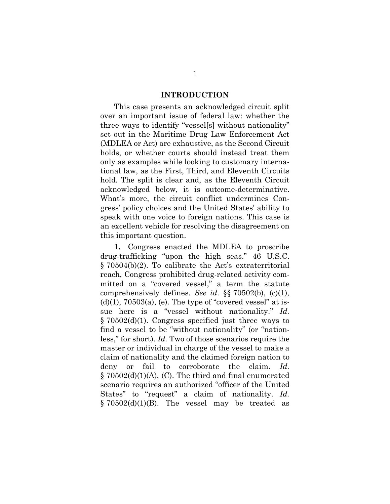### **INTRODUCTION**

<span id="page-10-0"></span>This case presents an acknowledged circuit split over an important issue of federal law: whether the three ways to identify "vessel[s] without nationality" set out in the Maritime Drug Law Enforcement Act (MDLEA or Act) are exhaustive, as the Second Circuit holds, or whether courts should instead treat them only as examples while looking to customary international law, as the First, Third, and Eleventh Circuits hold. The split is clear and, as the Eleventh Circuit acknowledged below, it is outcome-determinative. What's more, the circuit conflict undermines Congress' policy choices and the United States' ability to speak with one voice to foreign nations. This case is an excellent vehicle for resolving the disagreement on this important question.

**1.** Congress enacted the MDLEA to proscribe drug-trafficking "upon the high seas." 46 U.S.C. § 70504(b)(2). To calibrate the Act's extraterritorial reach, Congress prohibited drug-related activity committed on a "covered vessel," a term the statute comprehensively defines. *See id.* §§ 70502(b), (c)(1),  $(d)(1)$ , 70503 $(a)$ ,  $(e)$ . The type of "covered vessel" at issue here is a "vessel without nationality." *Id.* § 70502(d)(1). Congress specified just three ways to find a vessel to be "without nationality" (or "nationless," for short). *Id.* Two of those scenarios require the master or individual in charge of the vessel to make a claim of nationality and the claimed foreign nation to deny or fail to corroborate the claim. *Id.* § 70502(d)(1)(A), (C). The third and final enumerated scenario requires an authorized "officer of the United States" to "request" a claim of nationality. *Id.*  $\S 70502(d)(1)(B)$ . The vessel may be treated as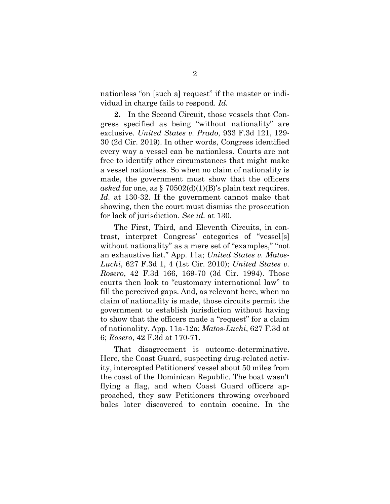nationless "on [such a] request" if the master or individual in charge fails to respond. *Id.*

**2.** In the Second Circuit, those vessels that Congress specified as being "without nationality" are exclusive. *United States v. Prado*, 933 F.3d 121, 129- 30 (2d Cir. 2019). In other words, Congress identified every way a vessel can be nationless. Courts are not free to identify other circumstances that might make a vessel nationless. So when no claim of nationality is made, the government must show that the officers asked for one, as  $\S 70502(d)(1)(B)$ 's plain text requires. *Id.* at 130-32. If the government cannot make that showing, then the court must dismiss the prosecution for lack of jurisdiction. *See id.* at 130.

The First, Third, and Eleventh Circuits, in contrast, interpret Congress' categories of "vessel[s] without nationality" as a mere set of "examples," "not an exhaustive list." App. 11a; *United States v. Matos-Luchi*, 627 F.3d 1, 4 (1st Cir. 2010); *United States v. Rosero*, 42 F.3d 166, 169-70 (3d Cir. 1994). Those courts then look to "customary international law" to fill the perceived gaps. And, as relevant here, when no claim of nationality is made, those circuits permit the government to establish jurisdiction without having to show that the officers made a "request" for a claim of nationality. App. 11a-12a; *Matos-Luchi*, 627 F.3d at 6; *Rosero*, 42 F.3d at 170-71.

That disagreement is outcome-determinative. Here, the Coast Guard, suspecting drug-related activity, intercepted Petitioners' vessel about 50 miles from the coast of the Dominican Republic. The boat wasn't flying a flag, and when Coast Guard officers approached, they saw Petitioners throwing overboard bales later discovered to contain cocaine. In the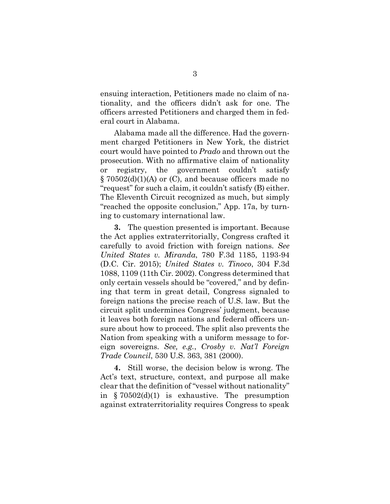ensuing interaction, Petitioners made no claim of nationality, and the officers didn't ask for one. The officers arrested Petitioners and charged them in federal court in Alabama.

Alabama made all the difference. Had the government charged Petitioners in New York, the district court would have pointed to *Prado* and thrown out the prosecution. With no affirmative claim of nationality or registry, the government couldn't satisfy § 70502(d)(1)(A) or (C), and because officers made no "request" for such a claim, it couldn't satisfy (B) either. The Eleventh Circuit recognized as much, but simply "reached the opposite conclusion," App. 17a, by turning to customary international law.

**3.** The question presented is important. Because the Act applies extraterritorially, Congress crafted it carefully to avoid friction with foreign nations. *See United States v. Miranda*, 780 F.3d 1185, 1193-94 (D.C. Cir. 2015); *United States v. Tinoco*, 304 F.3d 1088, 1109 (11th Cir. 2002). Congress determined that only certain vessels should be "covered," and by defining that term in great detail, Congress signaled to foreign nations the precise reach of U.S. law. But the circuit split undermines Congress' judgment, because it leaves both foreign nations and federal officers unsure about how to proceed. The split also prevents the Nation from speaking with a uniform message to foreign sovereigns. *See, e.g.*, *Crosby v. Nat'l Foreign Trade Council*, 530 U.S. 363, 381 (2000).

**4.** Still worse, the decision below is wrong. The Act's text, structure, context, and purpose all make clear that the definition of "vessel without nationality" in § 70502(d)(1) is exhaustive. The presumption against extraterritoriality requires Congress to speak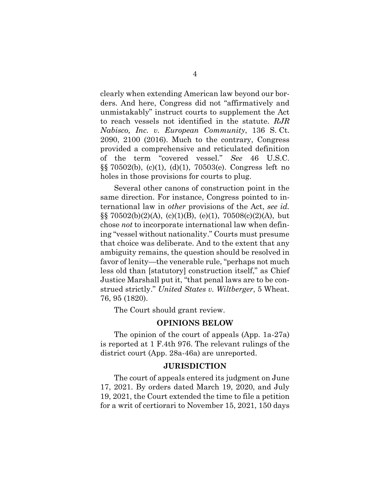clearly when extending American law beyond our borders. And here, Congress did not "affirmatively and unmistakably" instruct courts to supplement the Act to reach vessels not identified in the statute. *RJR Nabisco, Inc. v. European Community*, 136 S. Ct. 2090, 2100 (2016). Much to the contrary, Congress provided a comprehensive and reticulated definition of the term "covered vessel." *See* 46 U.S.C. §§ 70502(b), (c)(1), (d)(1), 70503(e). Congress left no holes in those provisions for courts to plug.

Several other canons of construction point in the same direction. For instance, Congress pointed to international law in *other* provisions of the Act, *see id.*  $\S$ §70502(b)(2)(A), (c)(1)(B), (e)(1), 70508(c)(2)(A), but chose *not* to incorporate international law when defining "vessel without nationality." Courts must presume that choice was deliberate. And to the extent that any ambiguity remains, the question should be resolved in favor of lenity—the venerable rule, "perhaps not much less old than [statutory] construction itself," as Chief Justice Marshall put it, "that penal laws are to be construed strictly." *United States v. Wiltberger*, 5 Wheat. 76, 95 (1820).

The Court should grant review.

#### **OPINIONS BELOW**

<span id="page-13-0"></span>The opinion of the court of appeals (App. 1a-27a) is reported at 1 F.4th 976. The relevant rulings of the district court (App. 28a-46a) are unreported.

#### **JURISDICTION**

<span id="page-13-1"></span>The court of appeals entered its judgment on June 17, 2021. By orders dated March 19, 2020, and July 19, 2021, the Court extended the time to file a petition for a writ of certiorari to November 15, 2021, 150 days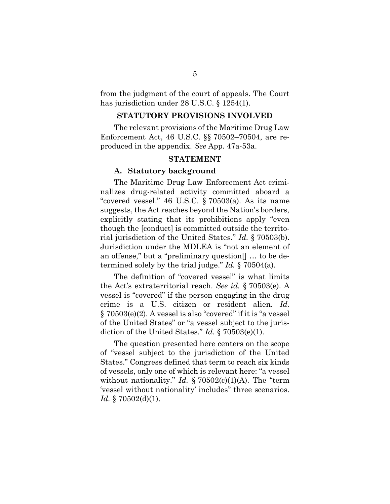from the judgment of the court of appeals. The Court has jurisdiction under 28 U.S.C. § 1254(1).

### **STATUTORY PROVISIONS INVOLVED**

<span id="page-14-0"></span>The relevant provisions of the Maritime Drug Law Enforcement Act, 46 U.S.C. §§ 70502–70504, are reproduced in the appendix. *See* App. 47a-53a.

### **STATEMENT**

#### <span id="page-14-1"></span>**A. Statutory background**

<span id="page-14-2"></span>The Maritime Drug Law Enforcement Act criminalizes drug-related activity committed aboard a "covered vessel." 46 U.S.C. § 70503(a). As its name suggests, the Act reaches beyond the Nation's borders, explicitly stating that its prohibitions apply "even though the [conduct] is committed outside the territorial jurisdiction of the United States." *Id.* § 70503(b). Jurisdiction under the MDLEA is "not an element of an offense," but a "preliminary question[] … to be determined solely by the trial judge." *Id.* § 70504(a).

The definition of "covered vessel" is what limits the Act's extraterritorial reach. *See id.* § 70503(e). A vessel is "covered" if the person engaging in the drug crime is a U.S. citizen or resident alien. *Id.* § 70503(e)(2). A vessel is also "covered" if it is "a vessel of the United States" or "a vessel subject to the jurisdiction of the United States." *Id.* § 70503(e)(1).

The question presented here centers on the scope of "vessel subject to the jurisdiction of the United States." Congress defined that term to reach six kinds of vessels, only one of which is relevant here: "a vessel without nationality." *Id.* § 70502(c)(1)(A). The "term 'vessel without nationality' includes" three scenarios. *Id.* § 70502(d)(1).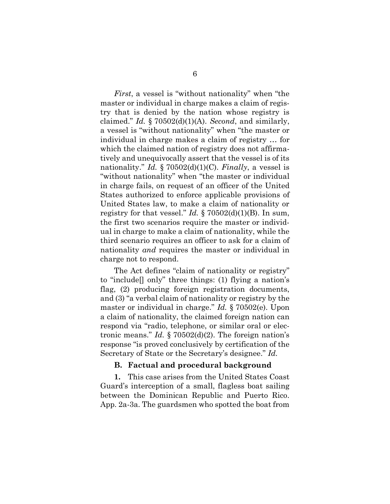*First*, a vessel is "without nationality" when "the master or individual in charge makes a claim of registry that is denied by the nation whose registry is claimed." *Id.* § 70502(d)(1)(A). *Second*, and similarly, a vessel is "without nationality" when "the master or individual in charge makes a claim of registry … for which the claimed nation of registry does not affirmatively and unequivocally assert that the vessel is of its nationality." *Id.* § 70502(d)(1)(C). *Finally*, a vessel is "without nationality" when "the master or individual in charge fails, on request of an officer of the United States authorized to enforce applicable provisions of United States law, to make a claim of nationality or registry for that vessel." *Id.*  $\S 70502(d)(1)(B)$ . In sum, the first two scenarios require the master or individual in charge to make a claim of nationality, while the third scenario requires an officer to ask for a claim of nationality *and* requires the master or individual in charge not to respond.

The Act defines "claim of nationality or registry" to "include[] only" three things: (1) flying a nation's flag, (2) producing foreign registration documents, and (3) "a verbal claim of nationality or registry by the master or individual in charge." *Id.* § 70502(e). Upon a claim of nationality, the claimed foreign nation can respond via "radio, telephone, or similar oral or electronic means." *Id.* § 70502(d)(2). The foreign nation's response "is proved conclusively by certification of the Secretary of State or the Secretary's designee." *Id.*

### **B. Factual and procedural background**

<span id="page-15-0"></span>**1.** This case arises from the United States Coast Guard's interception of a small, flagless boat sailing between the Dominican Republic and Puerto Rico. App. 2a-3a. The guardsmen who spotted the boat from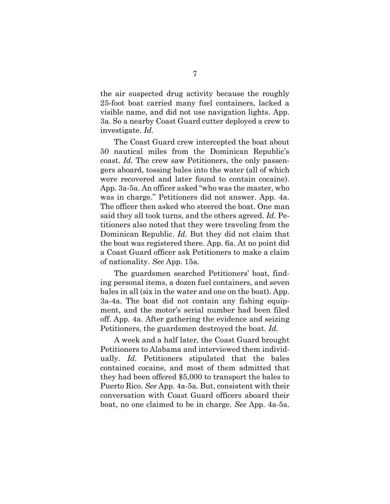the air suspected drug activity because the roughly 25-foot boat carried many fuel containers, lacked a visible name, and did not use navigation lights. App. 3a. So a nearby Coast Guard cutter deployed a crew to investigate. *Id.*

The Coast Guard crew intercepted the boat about 50 nautical miles from the Dominican Republic's coast. *Id.* The crew saw Petitioners, the only passengers aboard, tossing bales into the water (all of which were recovered and later found to contain cocaine). App. 3a-5a. An officer asked "who was the master, who was in charge." Petitioners did not answer. App. 4a. The officer then asked who steered the boat. One man said they all took turns, and the others agreed. *Id.* Petitioners also noted that they were traveling from the Dominican Republic. *Id.* But they did not claim that the boat was registered there. App. 6a. At no point did a Coast Guard officer ask Petitioners to make a claim of nationality. *See* App. 15a.

The guardsmen searched Petitioners' boat, finding personal items, a dozen fuel containers, and seven bales in all (six in the water and one on the boat). App. 3a-4a. The boat did not contain any fishing equipment, and the motor's serial number had been filed off. App. 4a. After gathering the evidence and seizing Petitioners, the guardsmen destroyed the boat. *Id.*

A week and a half later, the Coast Guard brought Petitioners to Alabama and interviewed them individually. *Id.* Petitioners stipulated that the bales contained cocaine, and most of them admitted that they had been offered \$5,000 to transport the bales to Puerto Rico. *See* App. 4a-5a. But, consistent with their conversation with Coast Guard officers aboard their boat, no one claimed to be in charge. *See* App. 4a-5a.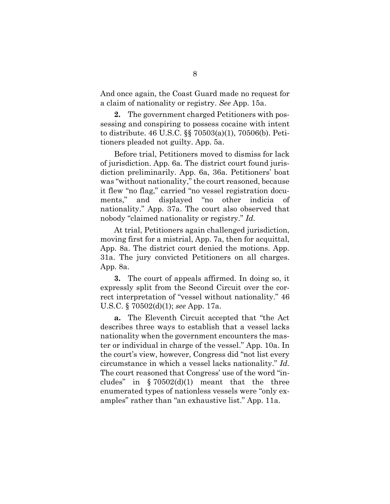And once again, the Coast Guard made no request for a claim of nationality or registry. *See* App. 15a.

**2.** The government charged Petitioners with possessing and conspiring to possess cocaine with intent to distribute. 46 U.S.C. §§ 70503(a)(1), 70506(b). Petitioners pleaded not guilty. App. 5a.

Before trial, Petitioners moved to dismiss for lack of jurisdiction. App. 6a. The district court found jurisdiction preliminarily. App. 6a, 36a. Petitioners' boat was "without nationality," the court reasoned, because it flew "no flag," carried "no vessel registration documents," and displayed "no other indicia of nationality." App. 37a. The court also observed that nobody "claimed nationality or registry." *Id.*

At trial, Petitioners again challenged jurisdiction, moving first for a mistrial, App. 7a, then for acquittal, App. 8a. The district court denied the motions. App. 31a. The jury convicted Petitioners on all charges. App. 8a.

**3.** The court of appeals affirmed. In doing so, it expressly split from the Second Circuit over the correct interpretation of "vessel without nationality." 46 U.S.C. § 70502(d)(1); *see* App. 17a.

**a.** The Eleventh Circuit accepted that "the Act describes three ways to establish that a vessel lacks nationality when the government encounters the master or individual in charge of the vessel." App. 10a. In the court's view, however, Congress did "not list every circumstance in which a vessel lacks nationality." *Id.* The court reasoned that Congress' use of the word "includes" in  $\S 70502(d)(1)$  meant that the three enumerated types of nationless vessels were "only examples" rather than "an exhaustive list." App. 11a.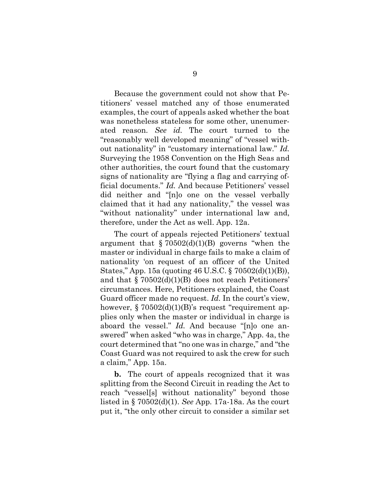Because the government could not show that Petitioners' vessel matched any of those enumerated examples, the court of appeals asked whether the boat was nonetheless stateless for some other, unenumerated reason. *See id.* The court turned to the "reasonably well developed meaning" of "vessel without nationality" in "customary international law." *Id.* Surveying the 1958 Convention on the High Seas and other authorities, the court found that the customary signs of nationality are "flying a flag and carrying official documents." *Id.* And because Petitioners' vessel did neither and "[n]o one on the vessel verbally claimed that it had any nationality," the vessel was "without nationality" under international law and, therefore, under the Act as well. App. 12a.

The court of appeals rejected Petitioners' textual argument that  $\S 70502(d)(1)(B)$  governs "when the master or individual in charge fails to make a claim of nationality 'on request of an officer of the United States," App. 15a (quoting 46 U.S.C. § 70502(d)(1)(B)), and that § 70502(d)(1)(B) does not reach Petitioners' circumstances. Here, Petitioners explained, the Coast Guard officer made no request. *Id.* In the court's view, however,  $\S 70502(d)(1)(B)$ 's request "requirement applies only when the master or individual in charge is aboard the vessel." *Id.* And because "[n]o one answered" when asked "who was in charge," App. 4a, the court determined that "no one was in charge," and "the Coast Guard was not required to ask the crew for such a claim," App. 15a.

**b.** The court of appeals recognized that it was splitting from the Second Circuit in reading the Act to reach "vessel[s] without nationality" beyond those listed in § 70502(d)(1). *See* App. 17a-18a. As the court put it, "the only other circuit to consider a similar set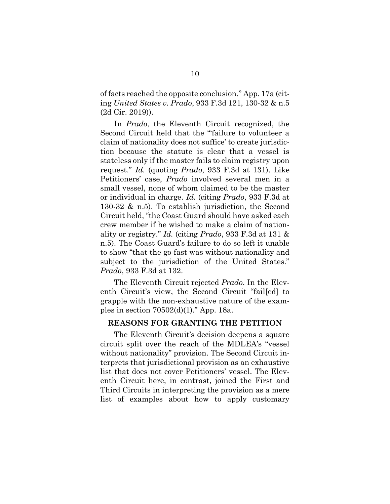of facts reached the opposite conclusion." App. 17a (citing *United States v. Prado*, 933 F.3d 121, 130-32 & n.5 (2d Cir. 2019)).

In *Prado*, the Eleventh Circuit recognized, the Second Circuit held that the "'failure to volunteer a claim of nationality does not suffice' to create jurisdiction because the statute is clear that a vessel is stateless only if the master fails to claim registry upon request." *Id.* (quoting *Prado*, 933 F.3d at 131). Like Petitioners' case, *Prado* involved several men in a small vessel, none of whom claimed to be the master or individual in charge. *Id.* (citing *Prado*, 933 F.3d at 130-32 & n.5). To establish jurisdiction, the Second Circuit held, "the Coast Guard should have asked each crew member if he wished to make a claim of nationality or registry." *Id.* (citing *Prado*, 933 F.3d at 131 & n.5). The Coast Guard's failure to do so left it unable to show "that the go-fast was without nationality and subject to the jurisdiction of the United States." *Prado*, 933 F.3d at 132.

The Eleventh Circuit rejected *Prado*. In the Eleventh Circuit's view, the Second Circuit "fail[ed] to grapple with the non-exhaustive nature of the examples in section 70502(d)(1)." App. 18a.

### <span id="page-19-0"></span>**REASONS FOR GRANTING THE PETITION**

The Eleventh Circuit's decision deepens a square circuit split over the reach of the MDLEA's "vessel without nationality" provision. The Second Circuit interprets that jurisdictional provision as an exhaustive list that does not cover Petitioners' vessel. The Eleventh Circuit here, in contrast, joined the First and Third Circuits in interpreting the provision as a mere list of examples about how to apply customary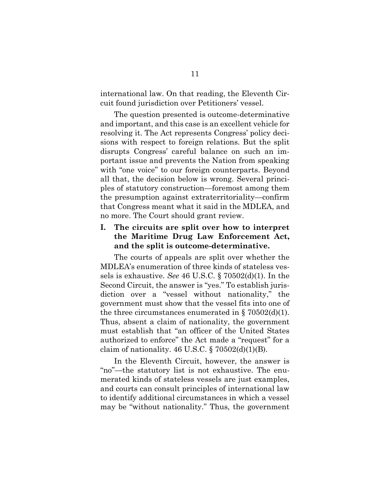international law. On that reading, the Eleventh Circuit found jurisdiction over Petitioners' vessel.

The question presented is outcome-determinative and important, and this case is an excellent vehicle for resolving it. The Act represents Congress' policy decisions with respect to foreign relations. But the split disrupts Congress' careful balance on such an important issue and prevents the Nation from speaking with "one voice" to our foreign counterparts. Beyond all that, the decision below is wrong. Several principles of statutory construction—foremost among them the presumption against extraterritoriality—confirm that Congress meant what it said in the MDLEA, and no more. The Court should grant review.

### <span id="page-20-0"></span>**I. The circuits are split over how to interpret the Maritime Drug Law Enforcement Act, and the split is outcome-determinative.**

The courts of appeals are split over whether the MDLEA's enumeration of three kinds of stateless vessels is exhaustive. *See* 46 U.S.C. § 70502(d)(1). In the Second Circuit, the answer is "yes." To establish jurisdiction over a "vessel without nationality," the government must show that the vessel fits into one of the three circumstances enumerated in  $\S 70502(d)(1)$ . Thus, absent a claim of nationality, the government must establish that "an officer of the United States authorized to enforce" the Act made a "request" for a claim of nationality. 46 U.S.C.  $\S 70502(d)(1)(B)$ .

In the Eleventh Circuit, however, the answer is "no"—the statutory list is not exhaustive. The enumerated kinds of stateless vessels are just examples, and courts can consult principles of international law to identify additional circumstances in which a vessel may be "without nationality." Thus, the government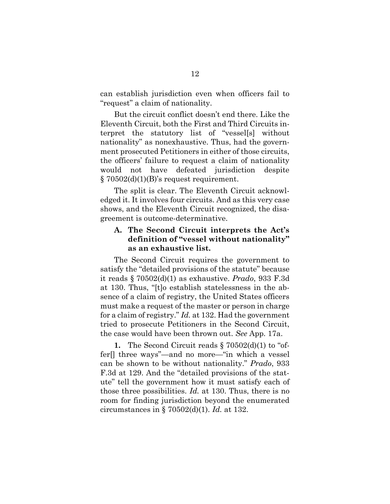can establish jurisdiction even when officers fail to "request" a claim of nationality.

But the circuit conflict doesn't end there. Like the Eleventh Circuit, both the First and Third Circuits interpret the statutory list of "vessel[s] without nationality" as nonexhaustive. Thus, had the government prosecuted Petitioners in either of those circuits, the officers' failure to request a claim of nationality would not have defeated jurisdiction despite  $\S 70502(d)(1)(B)$ 's request requirement.

The split is clear. The Eleventh Circuit acknowledged it. It involves four circuits. And as this very case shows, and the Eleventh Circuit recognized, the disagreement is outcome-determinative.

### <span id="page-21-0"></span>**A. The Second Circuit interprets the Act's definition of "vessel without nationality" as an exhaustive list.**

The Second Circuit requires the government to satisfy the "detailed provisions of the statute" because it reads § 70502(d)(1) as exhaustive. *Prado*, 933 F.3d at 130. Thus, "[t]o establish statelessness in the absence of a claim of registry, the United States officers must make a request of the master or person in charge for a claim of registry." *Id.* at 132. Had the government tried to prosecute Petitioners in the Second Circuit, the case would have been thrown out. *See* App. 17a.

**1.** The Second Circuit reads § 70502(d)(1) to "offer[] three ways"—and no more—"in which a vessel can be shown to be without nationality." *Prado*, 933 F.3d at 129. And the "detailed provisions of the statute" tell the government how it must satisfy each of those three possibilities. *Id.* at 130. Thus, there is no room for finding jurisdiction beyond the enumerated circumstances in § 70502(d)(1). *Id.* at 132.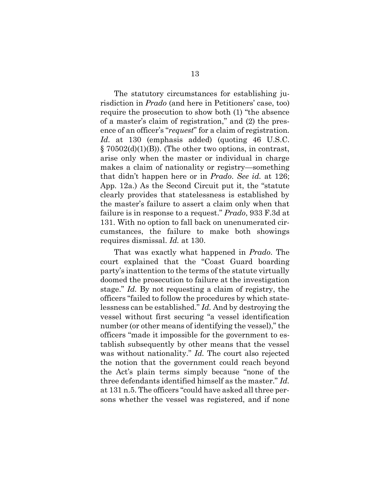The statutory circumstances for establishing jurisdiction in *Prado* (and here in Petitioners' case, too) require the prosecution to show both (1) "the absence of a master's claim of registration," and (2) the presence of an officer's "*request*" for a claim of registration. *Id.* at 130 (emphasis added) (quoting 46 U.S.C.  $\S 70502(d)(1)(B)$ . (The other two options, in contrast, arise only when the master or individual in charge makes a claim of nationality or registry—something that didn't happen here or in *Prado*. *See id.* at 126; App. 12a.) As the Second Circuit put it, the "statute clearly provides that statelessness is established by the master's failure to assert a claim only when that failure is in response to a request." *Prado*, 933 F.3d at 131. With no option to fall back on unenumerated circumstances, the failure to make both showings requires dismissal. *Id.* at 130.

That was exactly what happened in *Prado*. The court explained that the "Coast Guard boarding party's inattention to the terms of the statute virtually doomed the prosecution to failure at the investigation stage." *Id.* By not requesting a claim of registry, the officers "failed to follow the procedures by which statelessness can be established." *Id.* And by destroying the vessel without first securing "a vessel identification number (or other means of identifying the vessel)," the officers "made it impossible for the government to establish subsequently by other means that the vessel was without nationality." *Id.* The court also rejected the notion that the government could reach beyond the Act's plain terms simply because "none of the three defendants identified himself as the master." *Id.* at 131 n.5. The officers "could have asked all three persons whether the vessel was registered, and if none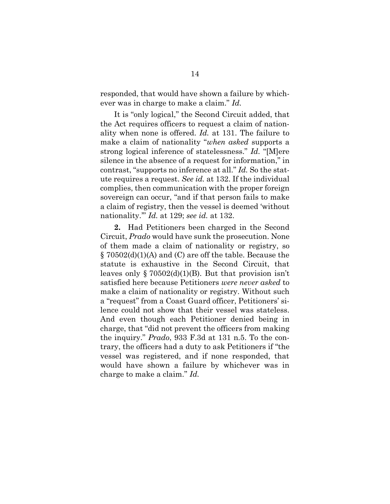responded, that would have shown a failure by whichever was in charge to make a claim." *Id.*

It is "only logical," the Second Circuit added, that the Act requires officers to request a claim of nationality when none is offered. *Id.* at 131. The failure to make a claim of nationality "*when asked* supports a strong logical inference of statelessness." *Id.* "[M]ere silence in the absence of a request for information," in contrast, "supports no inference at all." *Id.* So the statute requires a request. *See id.* at 132. If the individual complies, then communication with the proper foreign sovereign can occur, "and if that person fails to make a claim of registry, then the vessel is deemed 'without nationality.'" *Id.* at 129; *see id.* at 132.

**2.** Had Petitioners been charged in the Second Circuit, *Prado* would have sunk the prosecution. None of them made a claim of nationality or registry, so § 70502(d)(1)(A) and (C) are off the table. Because the statute is exhaustive in the Second Circuit, that leaves only § 70502(d)(1)(B). But that provision isn't satisfied here because Petitioners *were never asked* to make a claim of nationality or registry. Without such a "request" from a Coast Guard officer, Petitioners' silence could not show that their vessel was stateless. And even though each Petitioner denied being in charge, that "did not prevent the officers from making the inquiry." *Prado*, 933 F.3d at 131 n.5. To the contrary, the officers had a duty to ask Petitioners if "the vessel was registered, and if none responded, that would have shown a failure by whichever was in charge to make a claim." *Id.*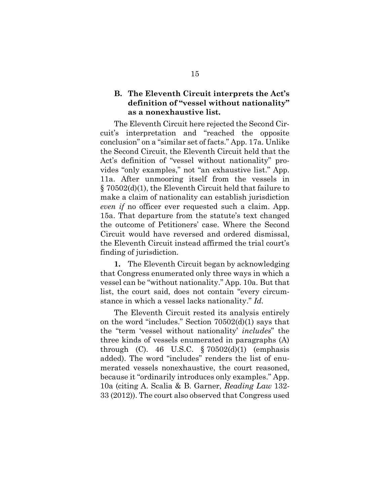### <span id="page-24-0"></span>**B. The Eleventh Circuit interprets the Act's definition of "vessel without nationality" as a nonexhaustive list.**

The Eleventh Circuit here rejected the Second Circuit's interpretation and "reached the opposite conclusion" on a "similar set of facts." App. 17a. Unlike the Second Circuit, the Eleventh Circuit held that the Act's definition of "vessel without nationality" provides "only examples," not "an exhaustive list." App. 11a. After unmooring itself from the vessels in § 70502(d)(1), the Eleventh Circuit held that failure to make a claim of nationality can establish jurisdiction *even if* no officer ever requested such a claim. App. 15a. That departure from the statute's text changed the outcome of Petitioners' case. Where the Second Circuit would have reversed and ordered dismissal, the Eleventh Circuit instead affirmed the trial court's finding of jurisdiction.

**1.** The Eleventh Circuit began by acknowledging that Congress enumerated only three ways in which a vessel can be "without nationality." App. 10a. But that list, the court said, does not contain "every circumstance in which a vessel lacks nationality." *Id.*

The Eleventh Circuit rested its analysis entirely on the word "includes." Section 70502(d)(1) says that the "term 'vessel without nationality' *includes*" the three kinds of vessels enumerated in paragraphs (A) through (C). 46 U.S.C.  $\S 70502(d)(1)$  (emphasis added). The word "includes" renders the list of enumerated vessels nonexhaustive, the court reasoned, because it "ordinarily introduces only examples." App. 10a (citing A. Scalia & B. Garner, *Reading Law* 132- 33 (2012)). The court also observed that Congress used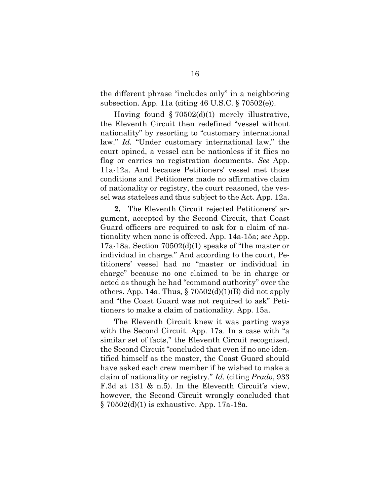the different phrase "includes only" in a neighboring subsection. App. 11a (citing 46 U.S.C. § 70502(e)).

Having found  $\S 70502(d)(1)$  merely illustrative, the Eleventh Circuit then redefined "vessel without nationality" by resorting to "customary international law." *Id.* "Under customary international law," the court opined, a vessel can be nationless if it flies no flag or carries no registration documents. *See* App. 11a-12a. And because Petitioners' vessel met those conditions and Petitioners made no affirmative claim of nationality or registry, the court reasoned, the vessel was stateless and thus subject to the Act. App. 12a.

**2.** The Eleventh Circuit rejected Petitioners' argument, accepted by the Second Circuit, that Coast Guard officers are required to ask for a claim of nationality when none is offered. App. 14a-15a; *see* App. 17a-18a. Section 70502(d)(1) speaks of "the master or individual in charge." And according to the court, Petitioners' vessel had no "master or individual in charge" because no one claimed to be in charge or acted as though he had "command authority" over the others. App. 14a. Thus,  $\S 70502(d)(1)(B)$  did not apply and "the Coast Guard was not required to ask" Petitioners to make a claim of nationality. App. 15a.

The Eleventh Circuit knew it was parting ways with the Second Circuit. App. 17a. In a case with "a similar set of facts," the Eleventh Circuit recognized, the Second Circuit "concluded that even if no one identified himself as the master, the Coast Guard should have asked each crew member if he wished to make a claim of nationality or registry." *Id.* (citing *Prado*, 933 F.3d at 131 & n.5). In the Eleventh Circuit's view, however, the Second Circuit wrongly concluded that § 70502(d)(1) is exhaustive. App. 17a-18a.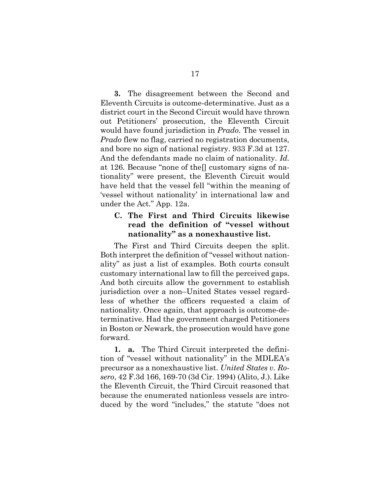**3.** The disagreement between the Second and Eleventh Circuits is outcome-determinative. Just as a district court in the Second Circuit would have thrown out Petitioners' prosecution, the Eleventh Circuit would have found jurisdiction in *Prado*. The vessel in *Prado* flew no flag, carried no registration documents, and bore no sign of national registry. 933 F.3d at 127. And the defendants made no claim of nationality. *Id.* at 126. Because "none of the[] customary signs of nationality" were present, the Eleventh Circuit would have held that the vessel fell "within the meaning of 'vessel without nationality' in international law and under the Act." App. 12a.

### <span id="page-26-0"></span>**C. The First and Third Circuits likewise read the definition of "vessel without nationality" as a nonexhaustive list.**

The First and Third Circuits deepen the split. Both interpret the definition of "vessel without nationality" as just a list of examples. Both courts consult customary international law to fill the perceived gaps. And both circuits allow the government to establish jurisdiction over a non–United States vessel regardless of whether the officers requested a claim of nationality. Once again, that approach is outcome-determinative. Had the government charged Petitioners in Boston or Newark, the prosecution would have gone forward.

**1. a.** The Third Circuit interpreted the definition of "vessel without nationality" in the MDLEA's precursor as a nonexhaustive list. *United States v. Rosero*, 42 F.3d 166, 169-70 (3d Cir. 1994) (Alito, J.). Like the Eleventh Circuit, the Third Circuit reasoned that because the enumerated nationless vessels are introduced by the word "includes," the statute "does not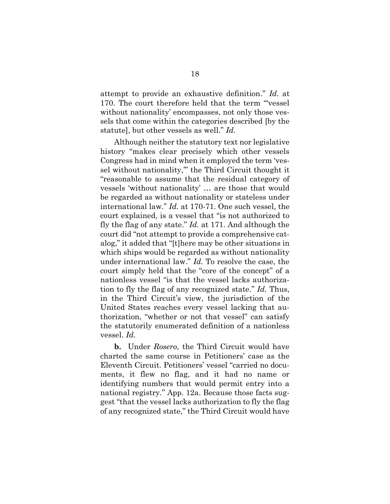attempt to provide an exhaustive definition." *Id.* at 170. The court therefore held that the term "'vessel without nationality' encompasses, not only those vessels that come within the categories described [by the statute], but other vessels as well." *Id.*

Although neither the statutory text nor legislative history "makes clear precisely which other vessels Congress had in mind when it employed the term 'vessel without nationality," the Third Circuit thought it "reasonable to assume that the residual category of vessels 'without nationality' … are those that would be regarded as without nationality or stateless under international law." *Id.* at 170-71. One such vessel, the court explained, is a vessel that "is not authorized to fly the flag of any state." *Id.* at 171. And although the court did "not attempt to provide a comprehensive catalog," it added that "[t]here may be other situations in which ships would be regarded as without nationality under international law." *Id.* To resolve the case, the court simply held that the "core of the concept" of a nationless vessel "is that the vessel lacks authorization to fly the flag of any recognized state." *Id.* Thus, in the Third Circuit's view, the jurisdiction of the United States reaches every vessel lacking that authorization, "whether or not that vessel" can satisfy the statutorily enumerated definition of a nationless vessel. *Id.*

**b.** Under *Rosero*, the Third Circuit would have charted the same course in Petitioners' case as the Eleventh Circuit. Petitioners' vessel "carried no documents, it flew no flag, and it had no name or identifying numbers that would permit entry into a national registry." App. 12a. Because those facts suggest "that the vessel lacks authorization to fly the flag of any recognized state," the Third Circuit would have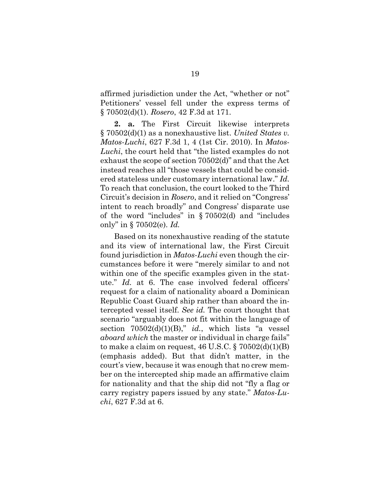affirmed jurisdiction under the Act, "whether or not" Petitioners' vessel fell under the express terms of § 70502(d)(1). *Rosero*, 42 F.3d at 171.

**2. a.** The First Circuit likewise interprets § 70502(d)(1) as a nonexhaustive list. *United States v. Matos-Luchi*, 627 F.3d 1, 4 (1st Cir. 2010). In *Matos-Luchi*, the court held that "the listed examples do not exhaust the scope of section 70502(d)" and that the Act instead reaches all "those vessels that could be considered stateless under customary international law." *Id.* To reach that conclusion, the court looked to the Third Circuit's decision in *Rosero*, and it relied on "Congress' intent to reach broadly" and Congress' disparate use of the word "includes" in § 70502(d) and "includes only" in § 70502(e). *Id.*

Based on its nonexhaustive reading of the statute and its view of international law, the First Circuit found jurisdiction in *Matos-Luchi* even though the circumstances before it were "merely similar to and not within one of the specific examples given in the statute." *Id.* at 6. The case involved federal officers' request for a claim of nationality aboard a Dominican Republic Coast Guard ship rather than aboard the intercepted vessel itself. *See id.* The court thought that scenario "arguably does not fit within the language of section 70502(d)(1)(B)," *id.*, which lists "a vessel *aboard which* the master or individual in charge fails" to make a claim on request,  $46$  U.S.C. §  $70502(d)(1)(B)$ (emphasis added). But that didn't matter, in the court's view, because it was enough that no crew member on the intercepted ship made an affirmative claim for nationality and that the ship did not "fly a flag or carry registry papers issued by any state." *Matos-Luchi*, 627 F.3d at 6.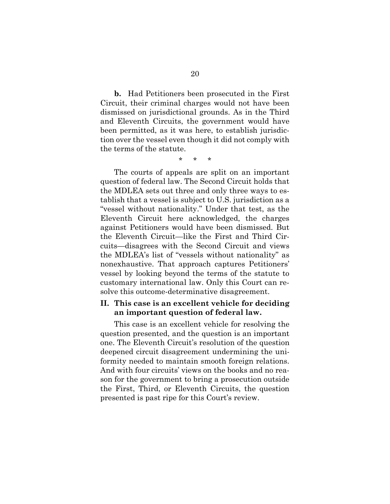**b.** Had Petitioners been prosecuted in the First Circuit, their criminal charges would not have been dismissed on jurisdictional grounds. As in the Third and Eleventh Circuits, the government would have been permitted, as it was here, to establish jurisdiction over the vessel even though it did not comply with the terms of the statute.

*\* \* \**

The courts of appeals are split on an important question of federal law. The Second Circuit holds that the MDLEA sets out three and only three ways to establish that a vessel is subject to U.S. jurisdiction as a "vessel without nationality." Under that test, as the Eleventh Circuit here acknowledged, the charges against Petitioners would have been dismissed. But the Eleventh Circuit—like the First and Third Circuits—disagrees with the Second Circuit and views the MDLEA's list of "vessels without nationality" as nonexhaustive. That approach captures Petitioners' vessel by looking beyond the terms of the statute to customary international law. Only this Court can resolve this outcome-determinative disagreement.

### <span id="page-29-0"></span>**II. This case is an excellent vehicle for deciding an important question of federal law.**

This case is an excellent vehicle for resolving the question presented, and the question is an important one. The Eleventh Circuit's resolution of the question deepened circuit disagreement undermining the uniformity needed to maintain smooth foreign relations. And with four circuits' views on the books and no reason for the government to bring a prosecution outside the First, Third, or Eleventh Circuits, the question presented is past ripe for this Court's review.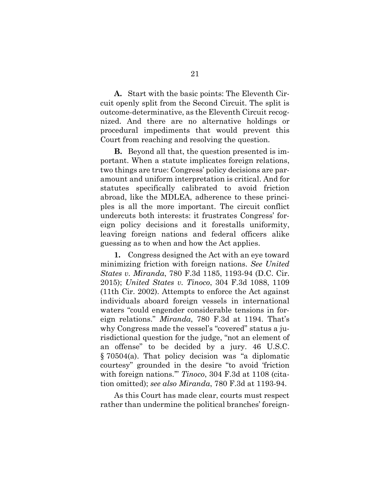**A.** Start with the basic points: The Eleventh Circuit openly split from the Second Circuit. The split is outcome-determinative, as the Eleventh Circuit recognized. And there are no alternative holdings or procedural impediments that would prevent this Court from reaching and resolving the question.

**B.** Beyond all that, the question presented is important. When a statute implicates foreign relations, two things are true: Congress' policy decisions are paramount and uniform interpretation is critical. And for statutes specifically calibrated to avoid friction abroad, like the MDLEA, adherence to these principles is all the more important. The circuit conflict undercuts both interests: it frustrates Congress' foreign policy decisions and it forestalls uniformity, leaving foreign nations and federal officers alike guessing as to when and how the Act applies.

**1.** Congress designed the Act with an eye toward minimizing friction with foreign nations. *See United States v. Miranda*, 780 F.3d 1185, 1193-94 (D.C. Cir. 2015); *United States v. Tinoco*, 304 F.3d 1088, 1109 (11th Cir. 2002). Attempts to enforce the Act against individuals aboard foreign vessels in international waters "could engender considerable tensions in foreign relations." *Miranda*, 780 F.3d at 1194. That's why Congress made the vessel's "covered" status a jurisdictional question for the judge, "not an element of an offense" to be decided by a jury. 46 U.S.C. § 70504(a). That policy decision was "a diplomatic courtesy" grounded in the desire "to avoid 'friction with foreign nations.'" *Tinoco*, 304 F.3d at 1108 (citation omitted); *see also Miranda*, 780 F.3d at 1193-94.

As this Court has made clear, courts must respect rather than undermine the political branches' foreign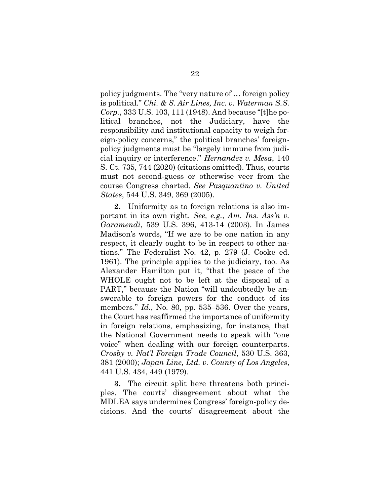policy judgments. The "very nature of … foreign policy is political." *Chi. & S. Air Lines, Inc. v. Waterman S.S. Corp.*, 333 U.S. 103, 111 (1948). And because "[t]he political branches, not the Judiciary, have the responsibility and institutional capacity to weigh foreign-policy concerns," the political branches' foreignpolicy judgments must be "largely immune from judicial inquiry or interference." *Hernandez v. Mesa*, 140 S. Ct. 735, 744 (2020) (citations omitted). Thus, courts must not second-guess or otherwise veer from the course Congress charted. *See Pasquantino v. United States*, 544 U.S. 349, 369 (2005).

**2.** Uniformity as to foreign relations is also important in its own right. *See, e.g.*, *Am. Ins. Ass'n v. Garamendi*, 539 U.S. 396, 413-14 (2003). In James Madison's words, "If we are to be one nation in any respect, it clearly ought to be in respect to other nations." The Federalist No. 42, p. 279 (J. Cooke ed. 1961). The principle applies to the judiciary, too. As Alexander Hamilton put it, "that the peace of the WHOLE ought not to be left at the disposal of a PART," because the Nation "will undoubtedly be answerable to foreign powers for the conduct of its members." *Id.*, No. 80, pp. 535–536. Over the years, the Court has reaffirmed the importance of uniformity in foreign relations, emphasizing, for instance, that the National Government needs to speak with "one voice" when dealing with our foreign counterparts. *Crosby v. Nat'l Foreign Trade Council*, 530 U.S. 363, 381 (2000); *Japan Line, Ltd. v. County of Los Angeles*, 441 U.S. 434, 449 (1979).

**3.** The circuit split here threatens both principles. The courts' disagreement about what the MDLEA says undermines Congress' foreign-policy decisions. And the courts' disagreement about the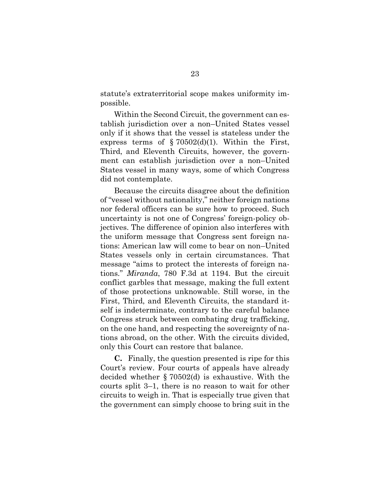statute's extraterritorial scope makes uniformity impossible.

Within the Second Circuit, the government can establish jurisdiction over a non–United States vessel only if it shows that the vessel is stateless under the express terms of  $\S 70502(d)(1)$ . Within the First, Third, and Eleventh Circuits, however, the government can establish jurisdiction over a non–United States vessel in many ways, some of which Congress did not contemplate.

Because the circuits disagree about the definition of "vessel without nationality," neither foreign nations nor federal officers can be sure how to proceed. Such uncertainty is not one of Congress' foreign-policy objectives. The difference of opinion also interferes with the uniform message that Congress sent foreign nations: American law will come to bear on non–United States vessels only in certain circumstances. That message "aims to protect the interests of foreign nations." *Miranda*, 780 F.3d at 1194. But the circuit conflict garbles that message, making the full extent of those protections unknowable. Still worse, in the First, Third, and Eleventh Circuits, the standard itself is indeterminate, contrary to the careful balance Congress struck between combating drug trafficking, on the one hand, and respecting the sovereignty of nations abroad, on the other. With the circuits divided, only this Court can restore that balance.

**C.** Finally, the question presented is ripe for this Court's review. Four courts of appeals have already decided whether § 70502(d) is exhaustive. With the courts split 3–1, there is no reason to wait for other circuits to weigh in. That is especially true given that the government can simply choose to bring suit in the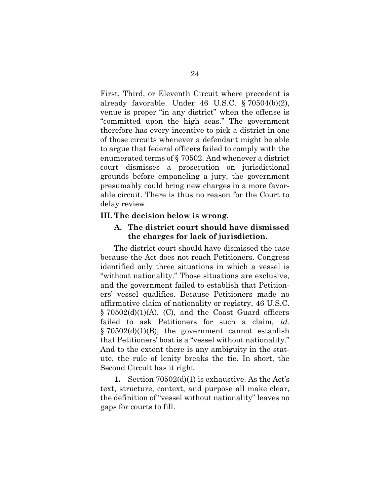First, Third, or Eleventh Circuit where precedent is already favorable. Under 46 U.S.C. § 70504(b)(2), venue is proper "in any district" when the offense is "committed upon the high seas." The government therefore has every incentive to pick a district in one of those circuits whenever a defendant might be able to argue that federal officers failed to comply with the enumerated terms of § 70502. And whenever a district court dismisses a prosecution on jurisdictional grounds before empaneling a jury, the government presumably could bring new charges in a more favorable circuit. There is thus no reason for the Court to delay review.

### <span id="page-33-1"></span><span id="page-33-0"></span>**III. The decision below is wrong.**

### **A. The district court should have dismissed the charges for lack of jurisdiction.**

The district court should have dismissed the case because the Act does not reach Petitioners. Congress identified only three situations in which a vessel is "without nationality." Those situations are exclusive, and the government failed to establish that Petitioners' vessel qualifies. Because Petitioners made no affirmative claim of nationality or registry, 46 U.S.C.  $\S 70502(d)(1)(A)$ , (C), and the Coast Guard officers failed to ask Petitioners for such a claim, *id.*  $§ 70502(d)(1)(B)$ , the government cannot establish that Petitioners' boat is a "vessel without nationality." And to the extent there is any ambiguity in the statute, the rule of lenity breaks the tie. In short, the Second Circuit has it right.

**1.** Section 70502(d)(1) is exhaustive. As the Act's text, structure, context, and purpose all make clear, the definition of "vessel without nationality" leaves no gaps for courts to fill.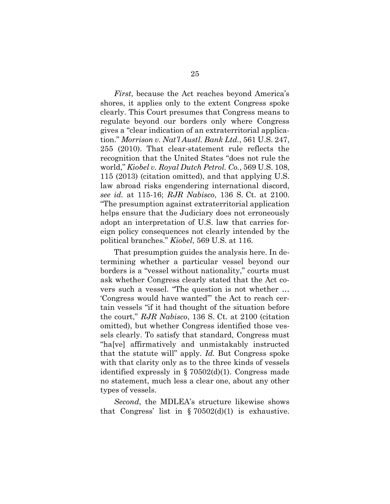*First*, because the Act reaches beyond America's shores, it applies only to the extent Congress spoke clearly. This Court presumes that Congress means to regulate beyond our borders only where Congress gives a "clear indication of an extraterritorial application." *Morrison v. Nat'l Austl. Bank Ltd.*, 561 U.S. 247, 255 (2010). That clear-statement rule reflects the recognition that the United States "does not rule the world," *Kiobel v. Royal Dutch Petrol. Co.*, 569 U.S. 108, 115 (2013) (citation omitted), and that applying U.S. law abroad risks engendering international discord, *see id.* at 115-16; *RJR Nabisco*, 136 S. Ct. at 2100. "The presumption against extraterritorial application helps ensure that the Judiciary does not erroneously adopt an interpretation of U.S. law that carries foreign policy consequences not clearly intended by the political branches." *Kiobel*, 569 U.S. at 116.

That presumption guides the analysis here. In determining whether a particular vessel beyond our borders is a "vessel without nationality," courts must ask whether Congress clearly stated that the Act covers such a vessel. "The question is not whether … 'Congress would have wanted'" the Act to reach certain vessels "if it had thought of the situation before the court," *RJR Nabisco*, 136 S. Ct. at 2100 (citation omitted), but whether Congress identified those vessels clearly. To satisfy that standard, Congress must "ha[ve] affirmatively and unmistakably instructed that the statute will" apply. *Id.* But Congress spoke with that clarity only as to the three kinds of vessels identified expressly in  $\S 70502(d)(1)$ . Congress made no statement, much less a clear one, about any other types of vessels.

*Second*, the MDLEA's structure likewise shows that Congress' list in  $\S 70502(d)(1)$  is exhaustive.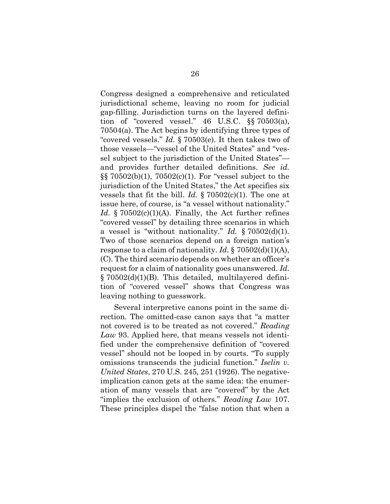Congress designed a comprehensive and reticulated jurisdictional scheme, leaving no room for judicial gap-filling. Jurisdiction turns on the layered definition of "covered vessel." 46 U.S.C. §§ 70503(a), 70504(a). The Act begins by identifying three types of "covered vessels." *Id.* § 70503(e). It then takes two of those vessels—"vessel of the United States" and "vessel subject to the jurisdiction of the United States" and provides further detailed definitions. *See id.* §§ 70502(b)(1), 70502(c)(1). For "vessel subject to the jurisdiction of the United States," the Act specifies six vessels that fit the bill. *Id.* § 70502(c)(1). The one at issue here, of course, is "a vessel without nationality." *Id.* § 70502(c)(1)(A). Finally, the Act further refines "covered vessel" by detailing three scenarios in which a vessel is "without nationality." *Id.* § 70502(d)(1). Two of those scenarios depend on a foreign nation's response to a claim of nationality. *Id.* § 70502(d)(1)(A), (C). The third scenario depends on whether an officer's request for a claim of nationality goes unanswered. *Id.* § 70502(d)(1)(B). This detailed, multilayered definition of "covered vessel" shows that Congress was leaving nothing to guesswork.

Several interpretive canons point in the same direction. The omitted-case canon says that "a matter not covered is to be treated as not covered." *Reading Law* 93. Applied here, that means vessels not identified under the comprehensive definition of "covered vessel" should not be looped in by courts. "To supply omissions transcends the judicial function." *Iselin v. United States*, 270 U.S. 245, 251 (1926). The negativeimplication canon gets at the same idea: the enumeration of many vessels that are "covered" by the Act "implies the exclusion of others." *Reading Law* 107. These principles dispel the "false notion that when a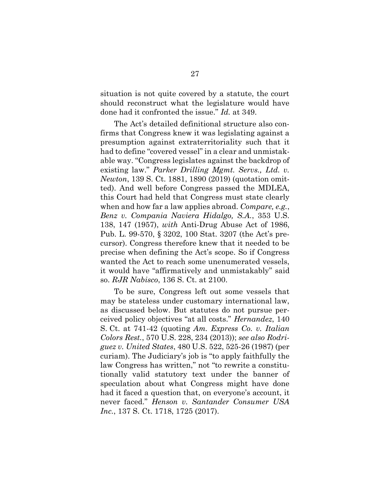situation is not quite covered by a statute, the court should reconstruct what the legislature would have done had it confronted the issue." *Id.* at 349.

The Act's detailed definitional structure also confirms that Congress knew it was legislating against a presumption against extraterritoriality such that it had to define "covered vessel" in a clear and unmistakable way. "Congress legislates against the backdrop of existing law." *Parker Drilling Mgmt. Servs., Ltd. v. Newton*, 139 S. Ct. 1881, 1890 (2019) (quotation omitted). And well before Congress passed the MDLEA, this Court had held that Congress must state clearly when and how far a law applies abroad. *Compare, e.g.*, *Benz v. Compania Naviera Hidalgo, S.A.*, 353 U.S. 138, 147 (1957), *with* Anti-Drug Abuse Act of 1986, Pub. L. 99-570, § 3202, 100 Stat. 3207 (the Act's precursor). Congress therefore knew that it needed to be precise when defining the Act's scope. So if Congress wanted the Act to reach some unenumerated vessels, it would have "affirmatively and unmistakably" said so. *RJR Nabisco*, 136 S. Ct. at 2100.

To be sure, Congress left out some vessels that may be stateless under customary international law, as discussed below. But statutes do not pursue perceived policy objectives "at all costs." *Hernandez*, 140 S. Ct. at 741-42 (quoting *Am. Express Co. v. Italian Colors Rest.*, 570 U.S. 228, 234 (2013)); *see also Rodriguez v. United States*, 480 U.S. 522, 525-26 (1987) (per curiam). The Judiciary's job is "to apply faithfully the law Congress has written," not "to rewrite a constitutionally valid statutory text under the banner of speculation about what Congress might have done had it faced a question that, on everyone's account, it never faced." *Henson v. Santander Consumer USA Inc.*, 137 S. Ct. 1718, 1725 (2017).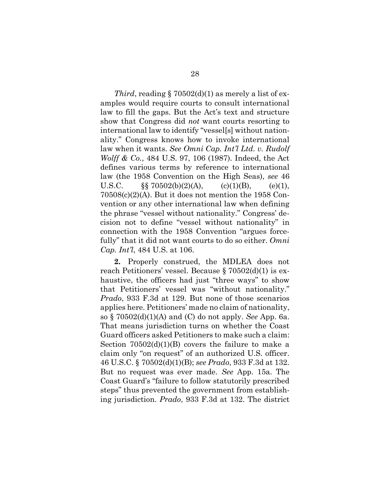*Third*, reading  $\S 70502(d)(1)$  as merely a list of examples would require courts to consult international law to fill the gaps. But the Act's text and structure show that Congress did *not* want courts resorting to international law to identify "vessel[s] without nationality." Congress knows how to invoke international law when it wants. *See Omni Cap. Int'l Ltd. v. Rudolf Wolff & Co.*, 484 U.S. 97, 106 (1987). Indeed, the Act defines various terms by reference to international law (the 1958 Convention on the High Seas), *see* 46 U.S.C.  $\S\S 70502(b)(2)(A),$  (c)(1)(B), (e)(1),  $70508(c)(2)$ (A). But it does not mention the 1958 Convention or any other international law when defining the phrase "vessel without nationality." Congress' decision not to define "vessel without nationality" in connection with the 1958 Convention "argues forcefully" that it did not want courts to do so either. *Omni Cap. Int'l*, 484 U.S. at 106.

**2.** Properly construed, the MDLEA does not reach Petitioners' vessel. Because § 70502(d)(1) is exhaustive, the officers had just "three ways" to show that Petitioners' vessel was "without nationality." *Prado*, 933 F.3d at 129. But none of those scenarios applies here. Petitioners' made no claim of nationality, so § 70502(d)(1)(A) and (C) do not apply. *See* App. 6a. That means jurisdiction turns on whether the Coast Guard officers asked Petitioners to make such a claim: Section 70502(d)(1)(B) covers the failure to make a claim only "on request" of an authorized U.S. officer. 46 U.S.C. § 70502(d)(1)(B); *see Prado*, 933 F.3d at 132. But no request was ever made. *See* App. 15a. The Coast Guard's "failure to follow statutorily prescribed steps" thus prevented the government from establishing jurisdiction. *Prado*, 933 F.3d at 132. The district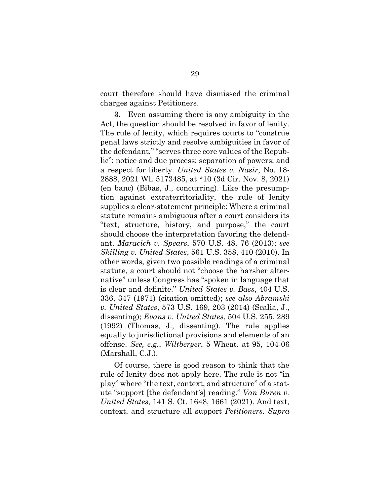court therefore should have dismissed the criminal charges against Petitioners.

**3.** Even assuming there is any ambiguity in the Act, the question should be resolved in favor of lenity. The rule of lenity, which requires courts to "construe penal laws strictly and resolve ambiguities in favor of the defendant," "serves three core values of the Republic": notice and due process; separation of powers; and a respect for liberty. *United States v. Nasir*, No. 18- 2888, 2021 WL 5173485, at \*10 (3d Cir. Nov. 8, 2021) (en banc) (Bibas, J., concurring). Like the presumption against extraterritoriality, the rule of lenity supplies a clear-statement principle: Where a criminal statute remains ambiguous after a court considers its "text, structure, history, and purpose," the court should choose the interpretation favoring the defendant. *Maracich v. Spears*, 570 U.S. 48, 76 (2013); *see Skilling v. United States*, 561 U.S. 358, 410 (2010). In other words, given two possible readings of a criminal statute, a court should not "choose the harsher alternative" unless Congress has "spoken in language that is clear and definite." *United States v. Bass*, 404 U.S. 336, 347 (1971) (citation omitted); *see also Abramski v. United States*, 573 U.S. 169, 203 (2014) (Scalia, J., dissenting); *Evans v. United States*, 504 U.S. 255, 289 (1992) (Thomas, J., dissenting). The rule applies equally to jurisdictional provisions and elements of an offense. *See, e.g.*, *Wiltberger*, 5 Wheat. at 95, 104-06 (Marshall, C.J.).

Of course, there is good reason to think that the rule of lenity does not apply here. The rule is not "in play" where "the text, context, and structure" of a statute "support [the defendant's] reading." *Van Buren v. United States*, 141 S. Ct. 1648, 1661 (2021). And text, context, and structure all support *Petitioners*. *Supra*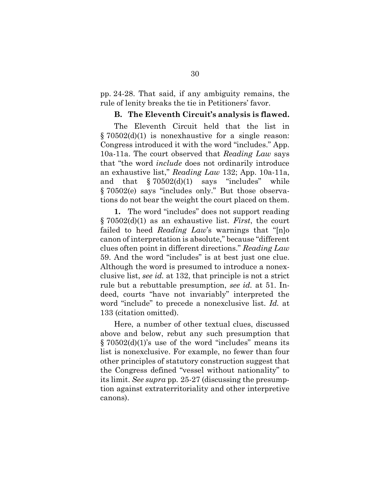pp. 24-28. That said, if any ambiguity remains, the rule of lenity breaks the tie in Petitioners' favor.

### **B. The Eleventh Circuit's analysis is flawed.**

<span id="page-39-0"></span>The Eleventh Circuit held that the list in § 70502(d)(1) is nonexhaustive for a single reason: Congress introduced it with the word "includes." App. 10a-11a. The court observed that *Reading Law* says that "the word *include* does not ordinarily introduce an exhaustive list," *Reading Law* 132; App. 10a-11a, and that  $\S 70502(d)(1)$  says "includes" while § 70502(e) says "includes only." But those observations do not bear the weight the court placed on them.

**1.** The word "includes" does not support reading § 70502(d)(1) as an exhaustive list. *First*, the court failed to heed *Reading Law*'s warnings that "[n]o canon of interpretation is absolute," because "different clues often point in different directions." *Reading Law* 59. And the word "includes" is at best just one clue. Although the word is presumed to introduce a nonexclusive list, *see id.* at 132, that principle is not a strict rule but a rebuttable presumption, *see id.* at 51. Indeed, courts "have not invariably" interpreted the word "include" to precede a nonexclusive list. *Id.* at 133 (citation omitted).

Here, a number of other textual clues, discussed above and below, rebut any such presumption that  $\S 70502(d)(1)$ 's use of the word "includes" means its list is nonexclusive. For example, no fewer than four other principles of statutory construction suggest that the Congress defined "vessel without nationality" to its limit. *See supra* pp. 25-27 (discussing the presumption against extraterritoriality and other interpretive canons).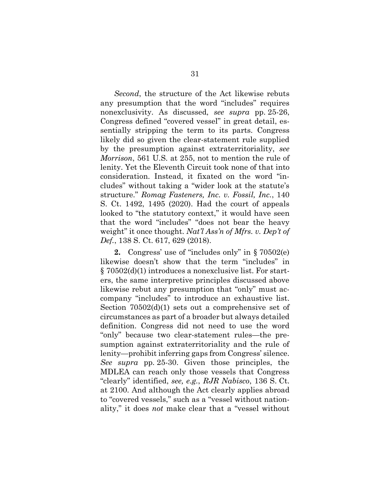*Second*, the structure of the Act likewise rebuts any presumption that the word "includes" requires nonexclusivity. As discussed, *see supra* pp. 25-26, Congress defined "covered vessel" in great detail, essentially stripping the term to its parts. Congress likely did so given the clear-statement rule supplied by the presumption against extraterritoriality, *see Morrison*, 561 U.S. at 255, not to mention the rule of lenity. Yet the Eleventh Circuit took none of that into consideration. Instead, it fixated on the word "includes" without taking a "wider look at the statute's structure." *Romag Fasteners, Inc. v. Fossil, Inc.*, 140 S. Ct. 1492, 1495 (2020). Had the court of appeals looked to "the statutory context," it would have seen that the word "includes" "does not bear the heavy weight" it once thought. *Nat'l Ass'n of Mfrs. v. Dep't of Def.*, 138 S. Ct. 617, 629 (2018).

**2.** Congress' use of "includes only" in § 70502(e) likewise doesn't show that the term "includes" in § 70502(d)(1) introduces a nonexclusive list. For starters, the same interpretive principles discussed above likewise rebut any presumption that "only" must accompany "includes" to introduce an exhaustive list. Section  $70502(d)(1)$  sets out a comprehensive set of circumstances as part of a broader but always detailed definition. Congress did not need to use the word "only" because two clear-statement rules—the presumption against extraterritoriality and the rule of lenity—prohibit inferring gaps from Congress' silence. *See supra* pp. 25-30. Given those principles, the MDLEA can reach only those vessels that Congress "clearly" identified, *see, e.g.*, *RJR Nabisco*, 136 S. Ct. at 2100. And although the Act clearly applies abroad to "covered vessels," such as a "vessel without nationality," it does *not* make clear that a "vessel without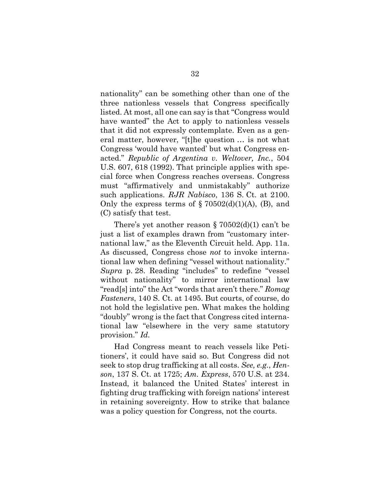nationality" can be something other than one of the three nationless vessels that Congress specifically listed. At most, all one can say is that "Congress would have wanted" the Act to apply to nationless vessels that it did not expressly contemplate. Even as a general matter, however, "[t]he question … is not what Congress 'would have wanted' but what Congress enacted." *Republic of Argentina v. Weltover, Inc.*, 504 U.S. 607, 618 (1992). That principle applies with special force when Congress reaches overseas. Congress must "affirmatively and unmistakably" authorize such applications. *RJR Nabisco*, 136 S. Ct. at 2100. Only the express terms of  $\S 70502(d)(1)(A)$ , (B), and (C) satisfy that test.

There's yet another reason  $\S 70502(d)(1)$  can't be just a list of examples drawn from "customary international law," as the Eleventh Circuit held. App. 11a. As discussed, Congress chose *not* to invoke international law when defining "vessel without nationality." *Supra* p. 28. Reading "includes" to redefine "vessel without nationality" to mirror international law "read[s] into" the Act "words that aren't there." *Romag Fasteners*, 140 S. Ct. at 1495. But courts, of course, do not hold the legislative pen. What makes the holding "doubly" wrong is the fact that Congress cited international law "elsewhere in the very same statutory provision." *Id.*

Had Congress meant to reach vessels like Petitioners', it could have said so. But Congress did not seek to stop drug trafficking at all costs. *See, e.g.*, *Henson*, 137 S. Ct. at 1725; *Am. Express*, 570 U.S. at 234. Instead, it balanced the United States' interest in fighting drug trafficking with foreign nations' interest in retaining sovereignty. How to strike that balance was a policy question for Congress, not the courts.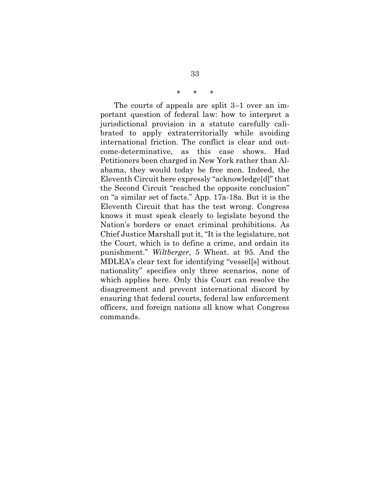### *\* \* \**

The courts of appeals are split 3–1 over an important question of federal law: how to interpret a jurisdictional provision in a statute carefully calibrated to apply extraterritorially while avoiding international friction. The conflict is clear and outcome-determinative, as this case shows. Had Petitioners been charged in New York rather than Alabama, they would today be free men. Indeed, the Eleventh Circuit here expressly "acknowledge[d]" that the Second Circuit "reached the opposite conclusion" on "a similar set of facts." App. 17a-18a. But it is the Eleventh Circuit that has the test wrong. Congress knows it must speak clearly to legislate beyond the Nation's borders or enact criminal prohibitions. As Chief Justice Marshall put it, "It is the legislature, not the Court, which is to define a crime, and ordain its punishment." *Wiltberger*, 5 Wheat. at 95. And the MDLEA's clear text for identifying "vessel[s] without nationality" specifies only three scenarios, none of which applies here. Only this Court can resolve the disagreement and prevent international discord by ensuring that federal courts, federal law enforcement officers, and foreign nations all know what Congress commands.